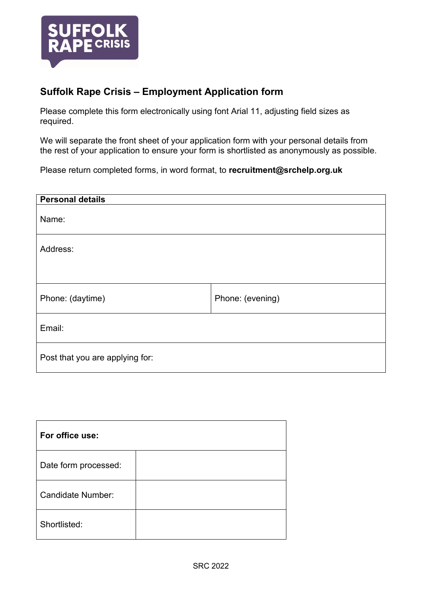

## **Suffolk Rape Crisis – Employment Application form**

Please complete this form electronically using font Arial 11, adjusting field sizes as required.

We will separate the front sheet of your application form with your personal details from the rest of your application to ensure your form is shortlisted as anonymously as possible.

Please return completed forms, in word format, to **recruitment@srchelp.org.uk**

| <b>Personal details</b>         |                  |  |
|---------------------------------|------------------|--|
| Name:                           |                  |  |
| Address:                        |                  |  |
|                                 |                  |  |
| Phone: (daytime)                | Phone: (evening) |  |
| Email:                          |                  |  |
| Post that you are applying for: |                  |  |

| For office use:          |  |
|--------------------------|--|
| Date form processed:     |  |
| <b>Candidate Number:</b> |  |
| Shortlisted:             |  |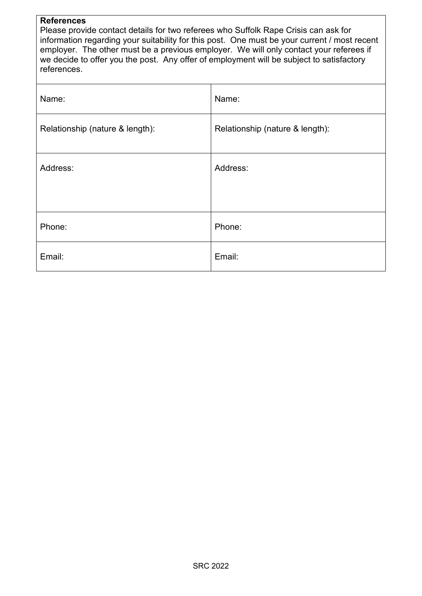#### **References**

Please provide contact details for two referees who Suffolk Rape Crisis can ask for information regarding your suitability for this post. One must be your current / most recent employer. The other must be a previous employer. We will only contact your referees if we decide to offer you the post. Any offer of employment will be subject to satisfactory references.

| Name:                           | Name:                           |
|---------------------------------|---------------------------------|
| Relationship (nature & length): | Relationship (nature & length): |
| Address:                        | Address:                        |
|                                 |                                 |
| Phone:                          | Phone:                          |
| Email:                          | Email:                          |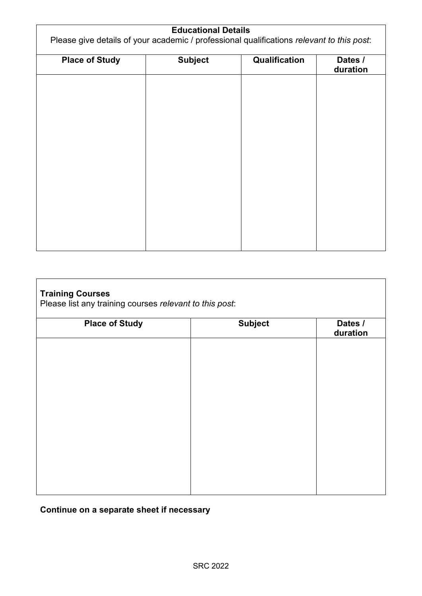| <b>Educational Details</b><br>Please give details of your academic / professional qualifications relevant to this post: |                |               |                     |
|-------------------------------------------------------------------------------------------------------------------------|----------------|---------------|---------------------|
| <b>Place of Study</b>                                                                                                   | <b>Subject</b> | Qualification | Dates /<br>duration |
|                                                                                                                         |                |               |                     |
|                                                                                                                         |                |               |                     |
|                                                                                                                         |                |               |                     |
|                                                                                                                         |                |               |                     |
|                                                                                                                         |                |               |                     |
|                                                                                                                         |                |               |                     |
|                                                                                                                         |                |               |                     |

| <b>Training Courses</b><br>Please list any training courses relevant to this post: |                |                     |  |
|------------------------------------------------------------------------------------|----------------|---------------------|--|
| <b>Place of Study</b>                                                              | <b>Subject</b> | Dates /<br>duration |  |
|                                                                                    |                |                     |  |
|                                                                                    |                |                     |  |
|                                                                                    |                |                     |  |
|                                                                                    |                |                     |  |
|                                                                                    |                |                     |  |
|                                                                                    |                |                     |  |
|                                                                                    |                |                     |  |
|                                                                                    |                |                     |  |
|                                                                                    |                |                     |  |

# **Continue on a separate sheet if necessary**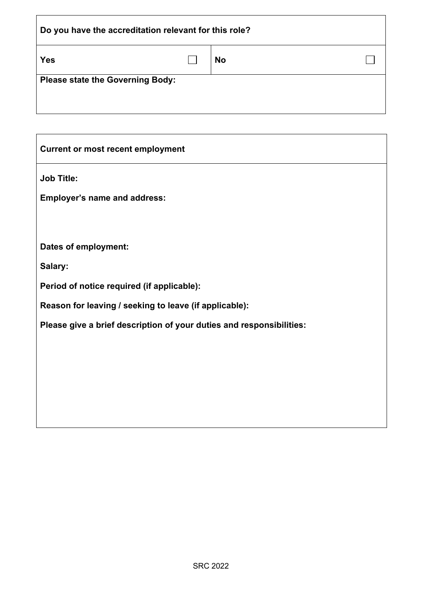| Do you have the accreditation relevant for this role? |  |           |  |
|-------------------------------------------------------|--|-----------|--|
| <b>Yes</b>                                            |  | <b>No</b> |  |
| <b>Please state the Governing Body:</b>               |  |           |  |

| <b>Current or most recent employment</b>                             |
|----------------------------------------------------------------------|
| <b>Job Title:</b>                                                    |
| <b>Employer's name and address:</b>                                  |
|                                                                      |
| Dates of employment:                                                 |
| Salary:                                                              |
| Period of notice required (if applicable):                           |
| Reason for leaving / seeking to leave (if applicable):               |
| Please give a brief description of your duties and responsibilities: |
|                                                                      |
|                                                                      |
|                                                                      |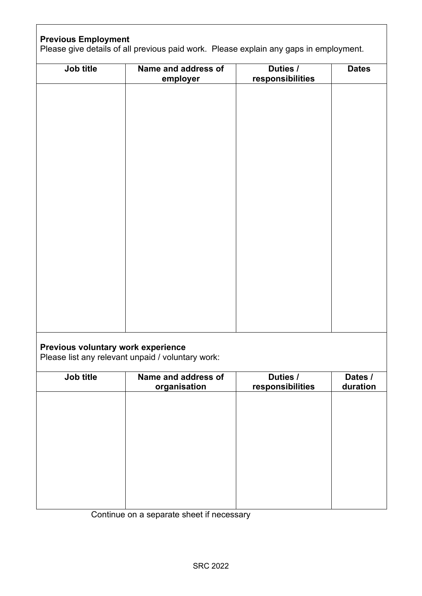## **Previous Employment**

Please give details of all previous paid work. Please explain any gaps in employment.

| Job title                          | Name and address of<br>employer                   | Duties /<br>responsibilities | <b>Dates</b> |
|------------------------------------|---------------------------------------------------|------------------------------|--------------|
|                                    |                                                   |                              |              |
|                                    |                                                   |                              |              |
|                                    |                                                   |                              |              |
|                                    |                                                   |                              |              |
|                                    |                                                   |                              |              |
|                                    |                                                   |                              |              |
|                                    |                                                   |                              |              |
|                                    |                                                   |                              |              |
|                                    |                                                   |                              |              |
|                                    |                                                   |                              |              |
|                                    |                                                   |                              |              |
|                                    |                                                   |                              |              |
|                                    |                                                   |                              |              |
|                                    |                                                   |                              |              |
|                                    |                                                   |                              |              |
| Previous voluntary work experience | Please list any relevant unpaid / voluntary work: |                              |              |

**Job title Name and address of organisation Duties / responsibilities Dates / duration**

Continue on a separate sheet if necessary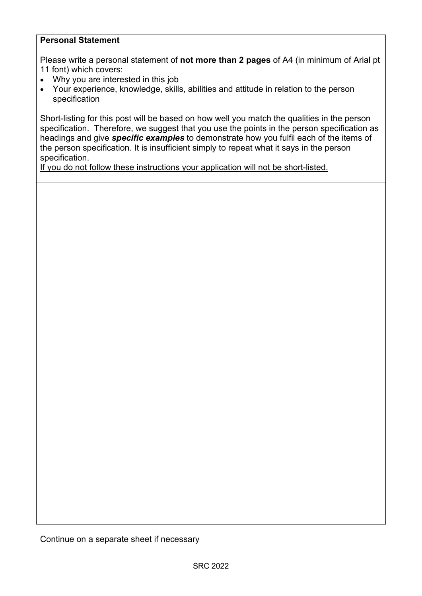## **Personal Statement**

Please write a personal statement of **not more than 2 pages** of A4 (in minimum of Arial pt 11 font) which covers:

- Why you are interested in this job
- Your experience, knowledge, skills, abilities and attitude in relation to the person specification

Short-listing for this post will be based on how well you match the qualities in the person specification. Therefore, we suggest that you use the points in the person specification as headings and give *specific examples* to demonstrate how you fulfil each of the items of the person specification. It is insufficient simply to repeat what it says in the person specification.

If you do not follow these instructions your application will not be short-listed.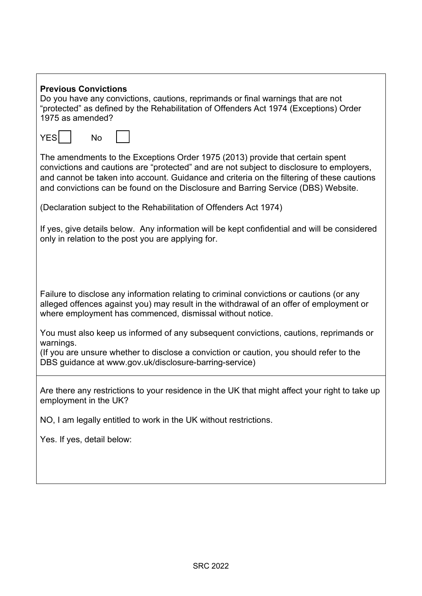| <b>Previous Convictions</b><br>Do you have any convictions, cautions, reprimands or final warnings that are not<br>"protected" as defined by the Rehabilitation of Offenders Act 1974 (Exceptions) Order<br>1975 as amended?                                                                                                                                 |
|--------------------------------------------------------------------------------------------------------------------------------------------------------------------------------------------------------------------------------------------------------------------------------------------------------------------------------------------------------------|
| YES<br><b>No</b>                                                                                                                                                                                                                                                                                                                                             |
| The amendments to the Exceptions Order 1975 (2013) provide that certain spent<br>convictions and cautions are "protected" and are not subject to disclosure to employers,<br>and cannot be taken into account. Guidance and criteria on the filtering of these cautions<br>and convictions can be found on the Disclosure and Barring Service (DBS) Website. |
| (Declaration subject to the Rehabilitation of Offenders Act 1974)                                                                                                                                                                                                                                                                                            |
| If yes, give details below. Any information will be kept confidential and will be considered<br>only in relation to the post you are applying for.                                                                                                                                                                                                           |
|                                                                                                                                                                                                                                                                                                                                                              |
| Failure to disclose any information relating to criminal convictions or cautions (or any<br>alleged offences against you) may result in the withdrawal of an offer of employment or<br>where employment has commenced, dismissal without notice.                                                                                                             |
| You must also keep us informed of any subsequent convictions, cautions, reprimands or<br>warnings.                                                                                                                                                                                                                                                           |
| (If you are unsure whether to disclose a conviction or caution, you should refer to the<br>DBS guidance at www.gov.uk/disclosure-barring-service)                                                                                                                                                                                                            |
| Are there any restrictions to your residence in the UK that might affect your right to take up<br>employment in the UK?                                                                                                                                                                                                                                      |
| NO, I am legally entitled to work in the UK without restrictions.                                                                                                                                                                                                                                                                                            |
| Yes. If yes, detail below:                                                                                                                                                                                                                                                                                                                                   |
|                                                                                                                                                                                                                                                                                                                                                              |